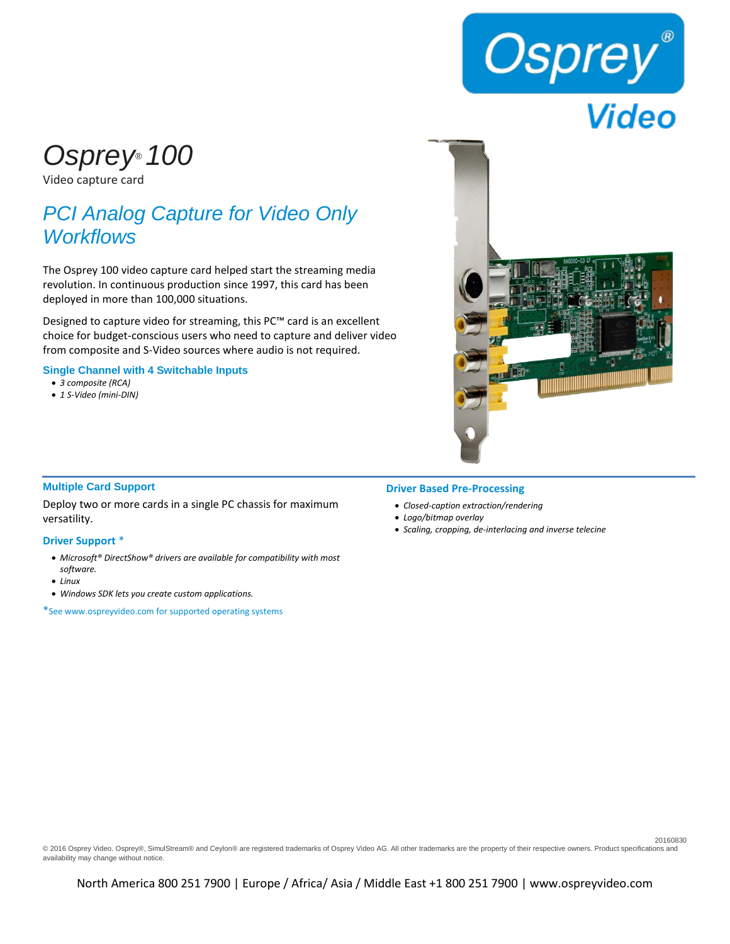

# *Osprey® 100*

Video capture card

## *PCI Analog Capture for Video Only Workflows*

The Osprey 100 video capture card helped start the streaming media revolution. In continuous production since 1997, this card has been deployed in more than 100,000 situations.

Designed to capture video for streaming, this PC™ card is an excellent choice for budget-conscious users who need to capture and deliver video from composite and S-Video sources where audio is not required.

**Single Channel with 4 Switchable Inputs**

- *3 composite (RCA)*
- *1 S-Video (mini-DIN)*



20160830

#### **Multiple Card Support**

Deploy two or more cards in a single PC chassis for maximum versatility.

#### **Driver Support** \*

- *Microsoft® DirectShow® drivers are available for compatibility with most software.*
- *Linux*
- *Windows SDK lets you create custom applications.*

\*See www.ospreyvideo.com for supported operating systems

#### **Driver Based Pre-Processing**

- *Closed-caption extraction/rendering*
- *Logo/bitmap overlay*
- *Scaling, cropping, de-interlacing and inverse telecine*

© 2016 Osprey Video. Osprey®, SimulStream® and Ceylon® are registered trademarks of Osprey Video AG. All other trademarks are the property of their respective owners. Product specifications and availability may change without notice.